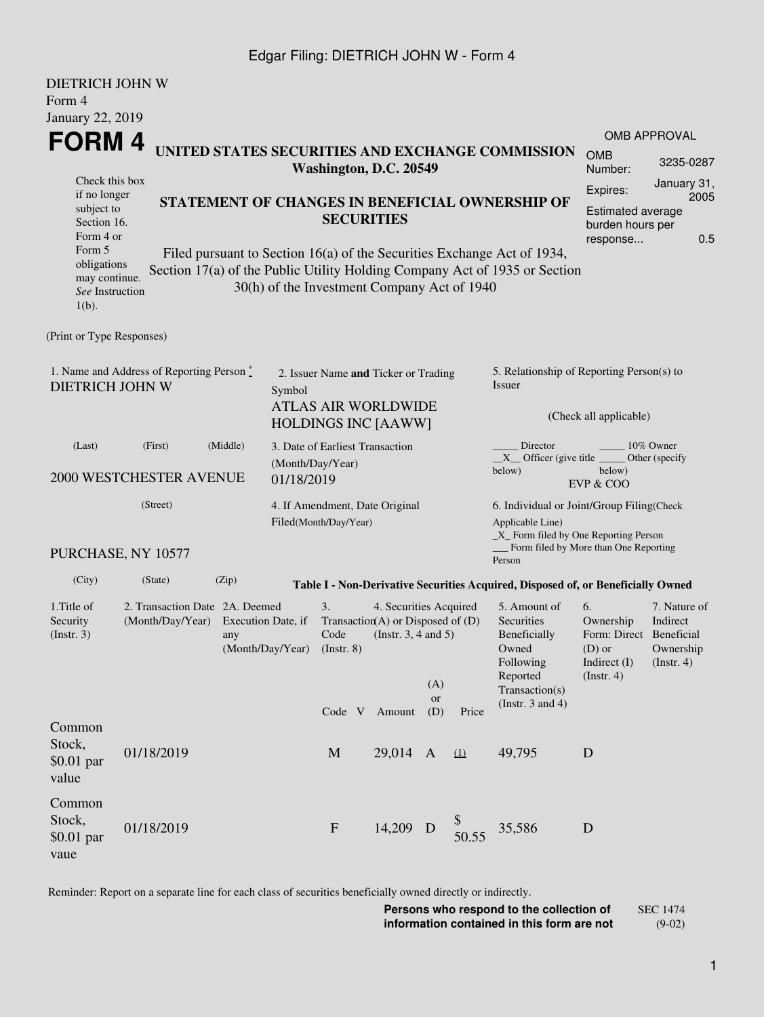### Edgar Filing: DIETRICH JOHN W - Form 4

DIETRICH JOHN W

| DIETRICH JOHN W<br>Form 4                                                                                                                     |                                                                                                                                                                                                                                                                 |       |                                                                      |                                                                                   |                  |     |                                                                                                                    |                                                                                                                                                    |                                                                                             |           |  |
|-----------------------------------------------------------------------------------------------------------------------------------------------|-----------------------------------------------------------------------------------------------------------------------------------------------------------------------------------------------------------------------------------------------------------------|-------|----------------------------------------------------------------------|-----------------------------------------------------------------------------------|------------------|-----|--------------------------------------------------------------------------------------------------------------------|----------------------------------------------------------------------------------------------------------------------------------------------------|---------------------------------------------------------------------------------------------|-----------|--|
| <b>January 22, 2019</b>                                                                                                                       |                                                                                                                                                                                                                                                                 |       |                                                                      |                                                                                   |                  |     |                                                                                                                    |                                                                                                                                                    |                                                                                             |           |  |
| FORM 4<br>UNITED STATES SECURITIES AND EXCHANGE COMMISSION                                                                                    |                                                                                                                                                                                                                                                                 |       |                                                                      |                                                                                   |                  |     |                                                                                                                    |                                                                                                                                                    | <b>OMB APPROVAL</b><br><b>OMB</b>                                                           |           |  |
|                                                                                                                                               | Washington, D.C. 20549<br>Check this box<br>if no longer<br>STATEMENT OF CHANGES IN BENEFICIAL OWNERSHIP OF<br>subject to<br><b>SECURITIES</b><br>Section 16.<br>Form 4 or<br>Form 5<br>Filed pursuant to Section 16(a) of the Securities Exchange Act of 1934, |       |                                                                      |                                                                                   |                  |     |                                                                                                                    |                                                                                                                                                    | Number:                                                                                     | 3235-0287 |  |
| obligations                                                                                                                                   |                                                                                                                                                                                                                                                                 |       |                                                                      |                                                                                   |                  |     |                                                                                                                    |                                                                                                                                                    | January 31,<br>Expires:<br>2005<br>Estimated average<br>burden hours per<br>0.5<br>response |           |  |
| may continue.<br>See Instruction<br>$1(b)$ .                                                                                                  |                                                                                                                                                                                                                                                                 |       |                                                                      | 30(h) of the Investment Company Act of 1940                                       |                  |     |                                                                                                                    | Section 17(a) of the Public Utility Holding Company Act of 1935 or Section                                                                         |                                                                                             |           |  |
| (Print or Type Responses)                                                                                                                     |                                                                                                                                                                                                                                                                 |       |                                                                      |                                                                                   |                  |     |                                                                                                                    |                                                                                                                                                    |                                                                                             |           |  |
| 1. Name and Address of Reporting Person*<br><b>DIETRICH JOHN W</b><br>Symbol                                                                  |                                                                                                                                                                                                                                                                 |       |                                                                      | 2. Issuer Name and Ticker or Trading<br><b>ATLAS AIR WORLDWIDE</b>                |                  |     |                                                                                                                    | 5. Relationship of Reporting Person(s) to<br>Issuer<br>(Check all applicable)                                                                      |                                                                                             |           |  |
| (Middle)<br>(First)<br>(Last)<br><b>2000 WESTCHESTER AVENUE</b><br>01/18/2019                                                                 |                                                                                                                                                                                                                                                                 |       |                                                                      | <b>HOLDINGS INC [AAWW]</b><br>3. Date of Earliest Transaction<br>(Month/Day/Year) |                  |     |                                                                                                                    | Director<br>10% Owner<br>$X$ Officer (give title<br>Other (specify<br>below)<br>below)<br>EVP & COO                                                |                                                                                             |           |  |
| (Street)                                                                                                                                      |                                                                                                                                                                                                                                                                 |       |                                                                      | 4. If Amendment, Date Original<br>Filed(Month/Day/Year)                           |                  |     |                                                                                                                    | 6. Individual or Joint/Group Filing(Check<br>Applicable Line)<br>$\_X$ Form filed by One Reporting Person<br>Form filed by More than One Reporting |                                                                                             |           |  |
|                                                                                                                                               | PURCHASE, NY 10577                                                                                                                                                                                                                                              |       |                                                                      |                                                                                   |                  |     |                                                                                                                    | Person                                                                                                                                             |                                                                                             |           |  |
| (City)                                                                                                                                        | (State)                                                                                                                                                                                                                                                         | (Zip) |                                                                      |                                                                                   |                  |     |                                                                                                                    | Table I - Non-Derivative Securities Acquired, Disposed of, or Beneficially Owned                                                                   |                                                                                             |           |  |
| 1. Title of<br>2. Transaction Date 2A. Deemed<br>Security<br>(Month/Day/Year)<br>Execution Date, if<br>(Insert. 3)<br>any<br>(Month/Day/Year) |                                                                                                                                                                                                                                                                 |       | 3.<br>Transaction(A) or Disposed of $(D)$<br>Code<br>$($ Instr. $8)$ | 4. Securities Acquired<br>(Insert. 3, 4 and 5)                                    | (A)<br><b>or</b> |     | 5. Amount of<br>Securities<br>Beneficially<br>Owned<br>Following<br>Reported<br>Transaction(s)<br>(Instr. 3 and 4) | 6.<br>Ownership<br>Indirect<br>Form: Direct<br>$(D)$ or<br>Indirect (I)<br>$($ Instr. 4 $)$<br>$($ Instr. 4 $)$                                    | 7. Nature of<br>Beneficial<br>Ownership                                                     |           |  |
| Common<br>Stock,<br>$$0.01$ par<br>value                                                                                                      | 01/18/2019                                                                                                                                                                                                                                                      |       |                                                                      | Code V Amount<br>M                                                                | 29,014 A         | (D) | Price<br>$\Omega$                                                                                                  | 49,795                                                                                                                                             | D                                                                                           |           |  |
| Common<br>Stock,<br>$$0.01$ par<br>vaue                                                                                                       | 01/18/2019                                                                                                                                                                                                                                                      |       |                                                                      | $\mathbf{F}$                                                                      | 14,209 D         |     | 50.55                                                                                                              | 35,586                                                                                                                                             | D                                                                                           |           |  |

Reminder: Report on a separate line for each class of securities beneficially owned directly or indirectly.

**Persons who respond to the collection of information contained in this form are not** SEC 1474 (9-02)

1